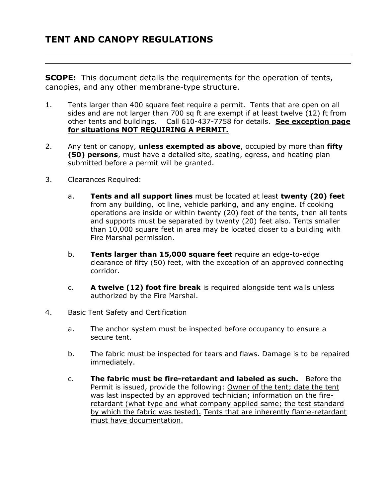**SCOPE:** This document details the requirements for the operation of tents, canopies, and any other membrane-type structure.

- 1. Tents larger than 400 square feet require a permit. Tents that are open on all sides and are not larger than 700 sq ft are exempt if at least twelve (12) ft from other tents and buildings. Call 610-437-7758 for details. **See exception page for situations NOT REQUIRING A PERMIT.**
- 2. Any tent or canopy, **unless exempted as above**, occupied by more than **fifty (50) persons**, must have a detailed site, seating, egress, and heating plan submitted before a permit will be granted.
- 3. Clearances Required:
	- a. **Tents and all support lines** must be located at least **twenty (20) feet** from any building, lot line, vehicle parking, and any engine. If cooking operations are inside or within twenty (20) feet of the tents, then all tents and supports must be separated by twenty (20) feet also. Tents smaller than 10,000 square feet in area may be located closer to a building with Fire Marshal permission.
	- b. **Tents larger than 15,000 square feet** require an edge-to-edge clearance of fifty (50) feet, with the exception of an approved connecting corridor.
	- c. **A twelve (12) foot fire break** is required alongside tent walls unless authorized by the Fire Marshal.
- 4. Basic Tent Safety and Certification
	- a. The anchor system must be inspected before occupancy to ensure a secure tent.
	- b. The fabric must be inspected for tears and flaws. Damage is to be repaired immediately.
	- c. **The fabric must be fire-retardant and labeled as such.** Before the Permit is issued, provide the following: Owner of the tent; date the tent was last inspected by an approved technician; information on the fireretardant (what type and what company applied same; the test standard by which the fabric was tested). Tents that are inherently flame-retardant must have documentation.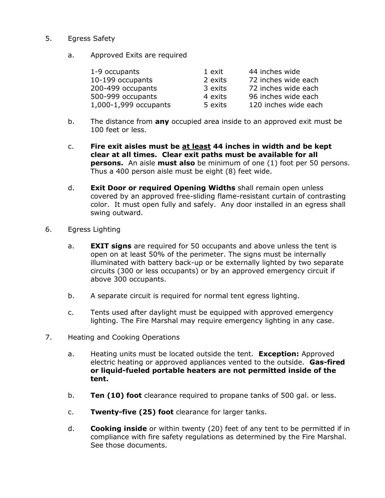- 5. Egress Safety
	- a. Approved Exits are required

| 1-9 occupants         | 1 exit  | 44 inches wide       |
|-----------------------|---------|----------------------|
| 10-199 occupants      | 2 exits | 72 inches wide each  |
| 200-499 occupants     | 3 exits | 72 inches wide each  |
| 500-999 occupants     | 4 exits | 96 inches wide each  |
| 1,000-1,999 occupants | 5 exits | 120 inches wide each |

- b. The distance from **any** occupied area inside to an approved exit must be 100 feet or less.
- c. **Fire exit aisles must be at least 44 inches in width and be kept clear at all times. Clear exit paths must be available for all persons.** An aisle **must also** be minimum of one (1) foot per 50 persons. Thus a 400 person aisle must be eight (8) feet wide.
- d. **Exit Door or required Opening Widths** shall remain open unless covered by an approved free-sliding flame-resistant curtain of contrasting color. It must open fully and safely. Any door installed in an egress shall swing outward.
- 6. Egress Lighting
	- a. **EXIT signs** are required for 50 occupants and above unless the tent is open on at least 50% of the perimeter. The signs must be internally illuminated with battery back-up or be externally lighted by two separate circuits (300 or less occupants) or by an approved emergency circuit if above 300 occupants.
	- b. A separate circuit is required for normal tent egress lighting.
	- c. Tents used after daylight must be equipped with approved emergency lighting. The Fire Marshal may require emergency lighting in any case.
- 7. Heating and Cooking Operations
	- a. Heating units must be located outside the tent. **Exception:** Approved electric heating or approved appliances vented to the outside. **Gas-fired or liquid-fueled portable heaters are not permitted inside of the tent.**
	- b. **Ten (10) foot** clearance required to propane tanks of 500 gal. or less.
	- c. **Twenty-five (25) foot** clearance for larger tanks.
	- d. **Cooking inside** or within twenty (20) feet of any tent to be permitted if in compliance with fire safety regulations as determined by the Fire Marshal. See those documents.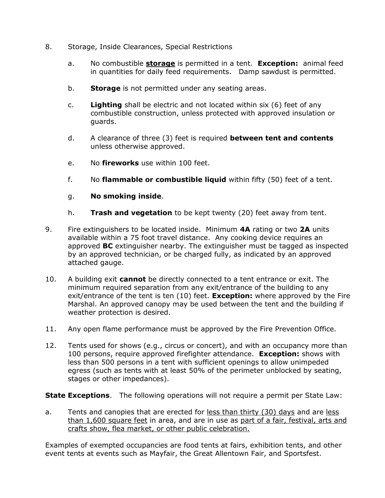- 8. Storage, Inside Clearances, Special Restrictions
	- a. No combustible **storage** is permitted in a tent. **Exception:** animal feed in quantities for daily feed requirements. Damp sawdust is permitted.
	- b. **Storage** is not permitted under any seating areas.
	- c. **Lighting** shall be electric and not located within six (6) feet of any combustible construction, unless protected with approved insulation or guards.
	- d. A clearance of three (3) feet is required **between tent and contents** unless otherwise approved.
	- e. No **fireworks** use within 100 feet.
	- f. No **flammable or combustible liquid** within fifty (50) feet of a tent.
	- g. **No smoking inside**.
	- h. **Trash and vegetation** to be kept twenty (20) feet away from tent.
- 9. Fire extinguishers to be located inside. Minimum **4A** rating or two **2A** units available within a 75 foot travel distance. Any cooking device requires an approved **BC** extinguisher nearby. The extinguisher must be tagged as inspected by an approved technician, or be charged fully, as indicated by an approved attached gauge.
- 10. A building exit **cannot** be directly connected to a tent entrance or exit. The minimum required separation from any exit/entrance of the building to any exit/entrance of the tent is ten (10) feet. **Exception:** where approved by the Fire Marshal. An approved canopy may be used between the tent and the building if weather protection is desired.
- 11. Any open flame performance must be approved by the Fire Prevention Office.
- 12. Tents used for shows (e.g., circus or concert), and with an occupancy more than 100 persons, require approved firefighter attendance. **Exception:** shows with less than 500 persons in a tent with sufficient openings to allow unimpeded egress (such as tents with at least 50% of the perimeter unblocked by seating, stages or other impedances).

**State Exceptions**. The following operations will not require a permit per State Law:

a. Tents and canopies that are erected for less than thirty (30) days and are less than 1,600 square feet in area, and are in use as part of a fair, festival, arts and crafts show, flea market, or other public celebration.

Examples of exempted occupancies are food tents at fairs, exhibition tents, and other event tents at events such as Mayfair, the Great Allentown Fair, and Sportsfest.